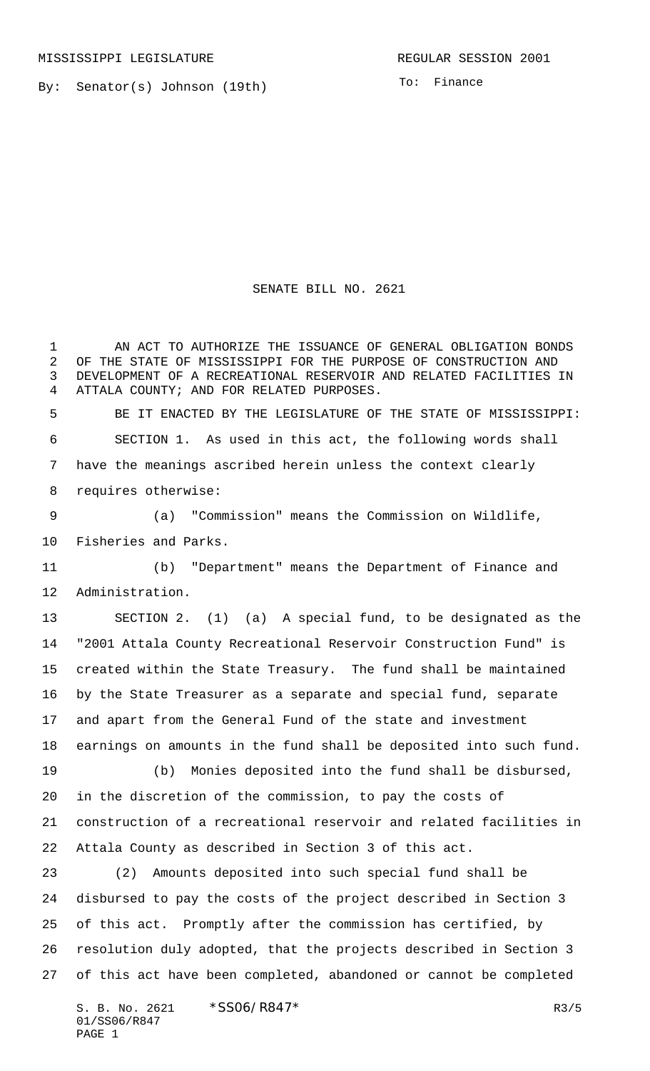By: Senator(s) Johnson (19th)

To: Finance

SENATE BILL NO. 2621

1 AN ACT TO AUTHORIZE THE ISSUANCE OF GENERAL OBLIGATION BONDS OF THE STATE OF MISSISSIPPI FOR THE PURPOSE OF CONSTRUCTION AND DEVELOPMENT OF A RECREATIONAL RESERVOIR AND RELATED FACILITIES IN ATTALA COUNTY; AND FOR RELATED PURPOSES. BE IT ENACTED BY THE LEGISLATURE OF THE STATE OF MISSISSIPPI: SECTION 1. As used in this act, the following words shall have the meanings ascribed herein unless the context clearly requires otherwise: (a) "Commission" means the Commission on Wildlife, Fisheries and Parks. (b) "Department" means the Department of Finance and Administration. SECTION 2. (1) (a) A special fund, to be designated as the "2001 Attala County Recreational Reservoir Construction Fund" is created within the State Treasury. The fund shall be maintained by the State Treasurer as a separate and special fund, separate and apart from the General Fund of the state and investment earnings on amounts in the fund shall be deposited into such fund. (b) Monies deposited into the fund shall be disbursed, in the discretion of the commission, to pay the costs of construction of a recreational reservoir and related facilities in Attala County as described in Section 3 of this act. (2) Amounts deposited into such special fund shall be disbursed to pay the costs of the project described in Section 3 of this act. Promptly after the commission has certified, by resolution duly adopted, that the projects described in Section 3 of this act have been completed, abandoned or cannot be completed

S. B. No. 2621 \* SSO6/R847\* R3/5 01/SS06/R847 PAGE 1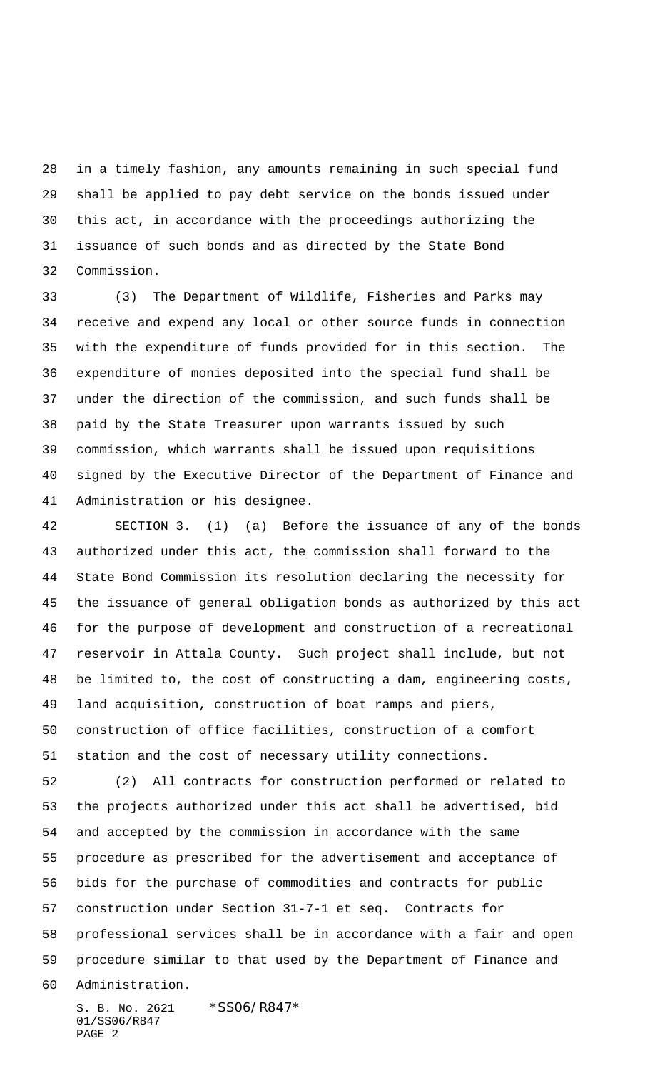in a timely fashion, any amounts remaining in such special fund shall be applied to pay debt service on the bonds issued under this act, in accordance with the proceedings authorizing the issuance of such bonds and as directed by the State Bond Commission.

 (3) The Department of Wildlife, Fisheries and Parks may receive and expend any local or other source funds in connection with the expenditure of funds provided for in this section. The expenditure of monies deposited into the special fund shall be under the direction of the commission, and such funds shall be paid by the State Treasurer upon warrants issued by such commission, which warrants shall be issued upon requisitions signed by the Executive Director of the Department of Finance and Administration or his designee.

 SECTION 3. (1) (a) Before the issuance of any of the bonds authorized under this act, the commission shall forward to the State Bond Commission its resolution declaring the necessity for the issuance of general obligation bonds as authorized by this act for the purpose of development and construction of a recreational reservoir in Attala County. Such project shall include, but not be limited to, the cost of constructing a dam, engineering costs, land acquisition, construction of boat ramps and piers, construction of office facilities, construction of a comfort station and the cost of necessary utility connections.

 (2) All contracts for construction performed or related to the projects authorized under this act shall be advertised, bid and accepted by the commission in accordance with the same procedure as prescribed for the advertisement and acceptance of bids for the purchase of commodities and contracts for public construction under Section 31-7-1 et seq. Contracts for professional services shall be in accordance with a fair and open procedure similar to that used by the Department of Finance and Administration.

S. B. No. 2621 \* SS06/R847\* 01/SS06/R847 PAGE 2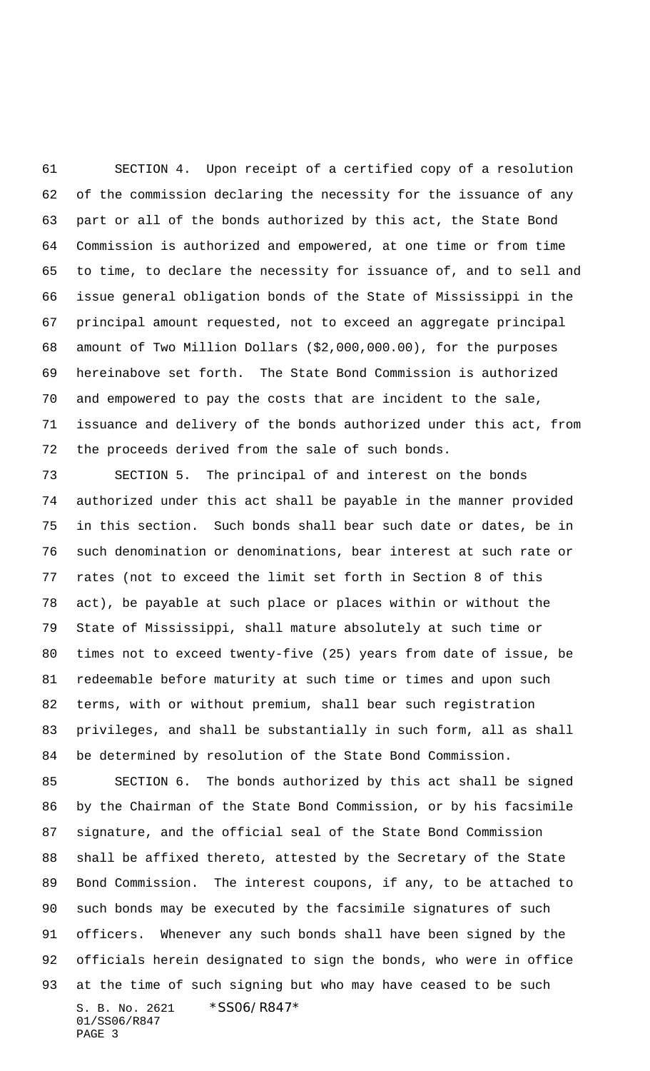SECTION 4. Upon receipt of a certified copy of a resolution of the commission declaring the necessity for the issuance of any part or all of the bonds authorized by this act, the State Bond Commission is authorized and empowered, at one time or from time to time, to declare the necessity for issuance of, and to sell and issue general obligation bonds of the State of Mississippi in the principal amount requested, not to exceed an aggregate principal amount of Two Million Dollars (\$2,000,000.00), for the purposes hereinabove set forth. The State Bond Commission is authorized and empowered to pay the costs that are incident to the sale, issuance and delivery of the bonds authorized under this act, from the proceeds derived from the sale of such bonds.

 SECTION 5. The principal of and interest on the bonds authorized under this act shall be payable in the manner provided in this section. Such bonds shall bear such date or dates, be in such denomination or denominations, bear interest at such rate or rates (not to exceed the limit set forth in Section 8 of this act), be payable at such place or places within or without the State of Mississippi, shall mature absolutely at such time or times not to exceed twenty-five (25) years from date of issue, be redeemable before maturity at such time or times and upon such terms, with or without premium, shall bear such registration privileges, and shall be substantially in such form, all as shall be determined by resolution of the State Bond Commission.

S. B. No. 2621 \* SS06/R847\* 01/SS06/R847 PAGE 3 SECTION 6. The bonds authorized by this act shall be signed by the Chairman of the State Bond Commission, or by his facsimile signature, and the official seal of the State Bond Commission shall be affixed thereto, attested by the Secretary of the State Bond Commission. The interest coupons, if any, to be attached to such bonds may be executed by the facsimile signatures of such officers. Whenever any such bonds shall have been signed by the officials herein designated to sign the bonds, who were in office at the time of such signing but who may have ceased to be such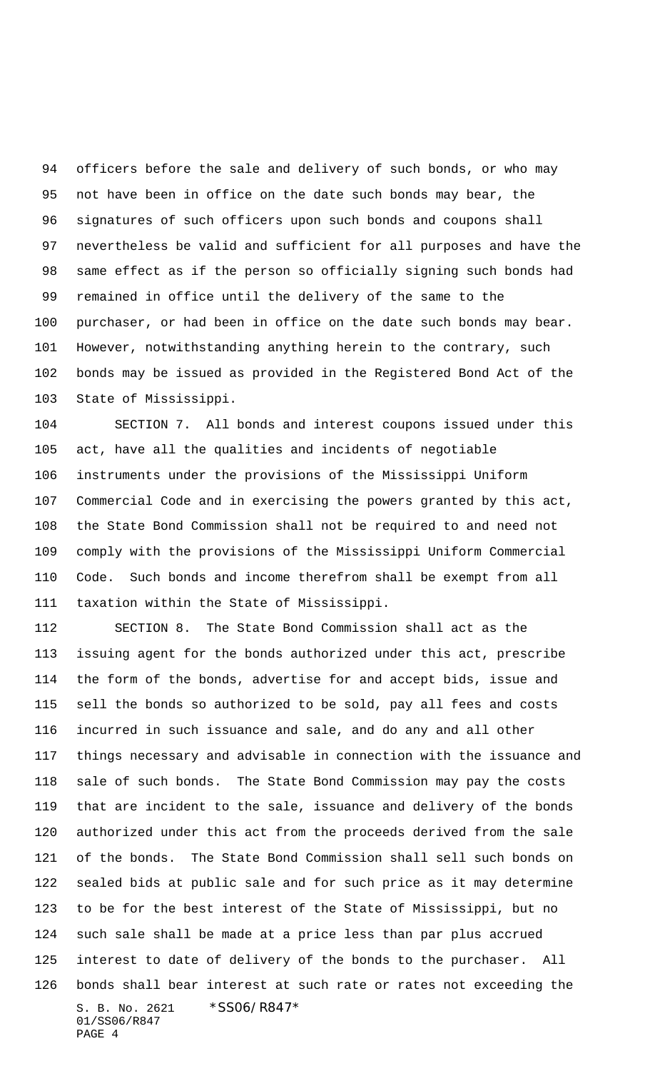officers before the sale and delivery of such bonds, or who may not have been in office on the date such bonds may bear, the signatures of such officers upon such bonds and coupons shall nevertheless be valid and sufficient for all purposes and have the same effect as if the person so officially signing such bonds had remained in office until the delivery of the same to the purchaser, or had been in office on the date such bonds may bear. However, notwithstanding anything herein to the contrary, such bonds may be issued as provided in the Registered Bond Act of the State of Mississippi.

 SECTION 7. All bonds and interest coupons issued under this act, have all the qualities and incidents of negotiable instruments under the provisions of the Mississippi Uniform Commercial Code and in exercising the powers granted by this act, the State Bond Commission shall not be required to and need not comply with the provisions of the Mississippi Uniform Commercial Code. Such bonds and income therefrom shall be exempt from all taxation within the State of Mississippi.

S. B. No. 2621 \* SS06/R847\* 01/SS06/R847 PAGE 4 SECTION 8. The State Bond Commission shall act as the issuing agent for the bonds authorized under this act, prescribe the form of the bonds, advertise for and accept bids, issue and sell the bonds so authorized to be sold, pay all fees and costs incurred in such issuance and sale, and do any and all other things necessary and advisable in connection with the issuance and sale of such bonds. The State Bond Commission may pay the costs that are incident to the sale, issuance and delivery of the bonds authorized under this act from the proceeds derived from the sale of the bonds. The State Bond Commission shall sell such bonds on sealed bids at public sale and for such price as it may determine to be for the best interest of the State of Mississippi, but no such sale shall be made at a price less than par plus accrued interest to date of delivery of the bonds to the purchaser. All bonds shall bear interest at such rate or rates not exceeding the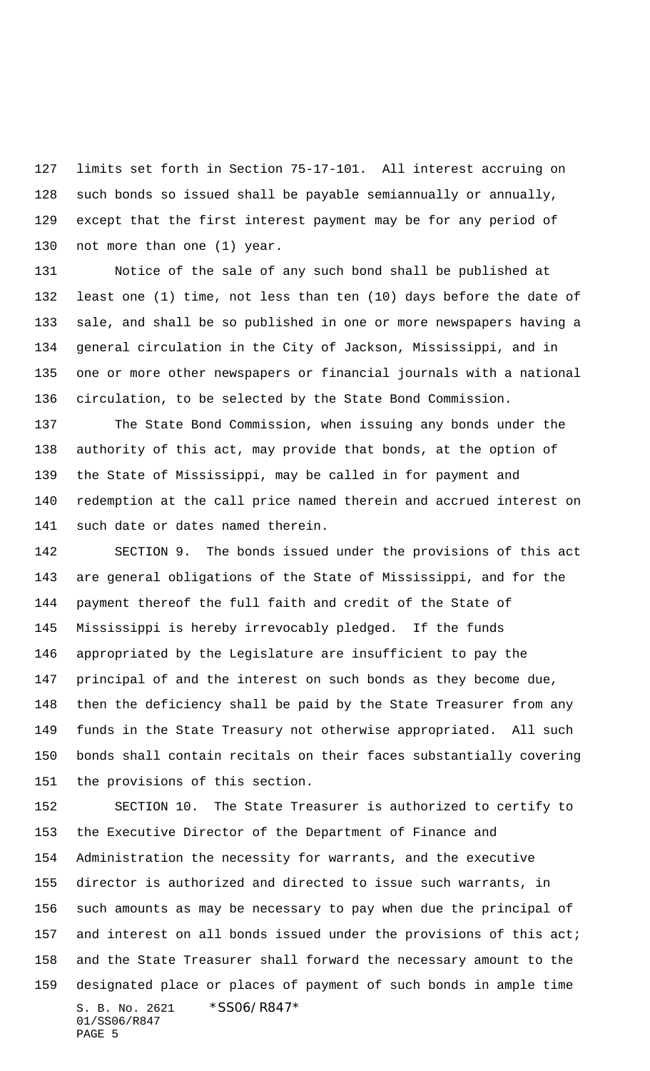limits set forth in Section 75-17-101. All interest accruing on such bonds so issued shall be payable semiannually or annually, except that the first interest payment may be for any period of 130 not more than one (1) year.

 Notice of the sale of any such bond shall be published at least one (1) time, not less than ten (10) days before the date of sale, and shall be so published in one or more newspapers having a general circulation in the City of Jackson, Mississippi, and in one or more other newspapers or financial journals with a national circulation, to be selected by the State Bond Commission.

 The State Bond Commission, when issuing any bonds under the authority of this act, may provide that bonds, at the option of the State of Mississippi, may be called in for payment and redemption at the call price named therein and accrued interest on such date or dates named therein.

 SECTION 9. The bonds issued under the provisions of this act are general obligations of the State of Mississippi, and for the payment thereof the full faith and credit of the State of Mississippi is hereby irrevocably pledged. If the funds appropriated by the Legislature are insufficient to pay the principal of and the interest on such bonds as they become due, then the deficiency shall be paid by the State Treasurer from any funds in the State Treasury not otherwise appropriated. All such bonds shall contain recitals on their faces substantially covering the provisions of this section.

S. B. No. 2621 \*SS06/R847\* 01/SS06/R847 PAGE 5 SECTION 10. The State Treasurer is authorized to certify to the Executive Director of the Department of Finance and Administration the necessity for warrants, and the executive director is authorized and directed to issue such warrants, in such amounts as may be necessary to pay when due the principal of 157 and interest on all bonds issued under the provisions of this act; and the State Treasurer shall forward the necessary amount to the designated place or places of payment of such bonds in ample time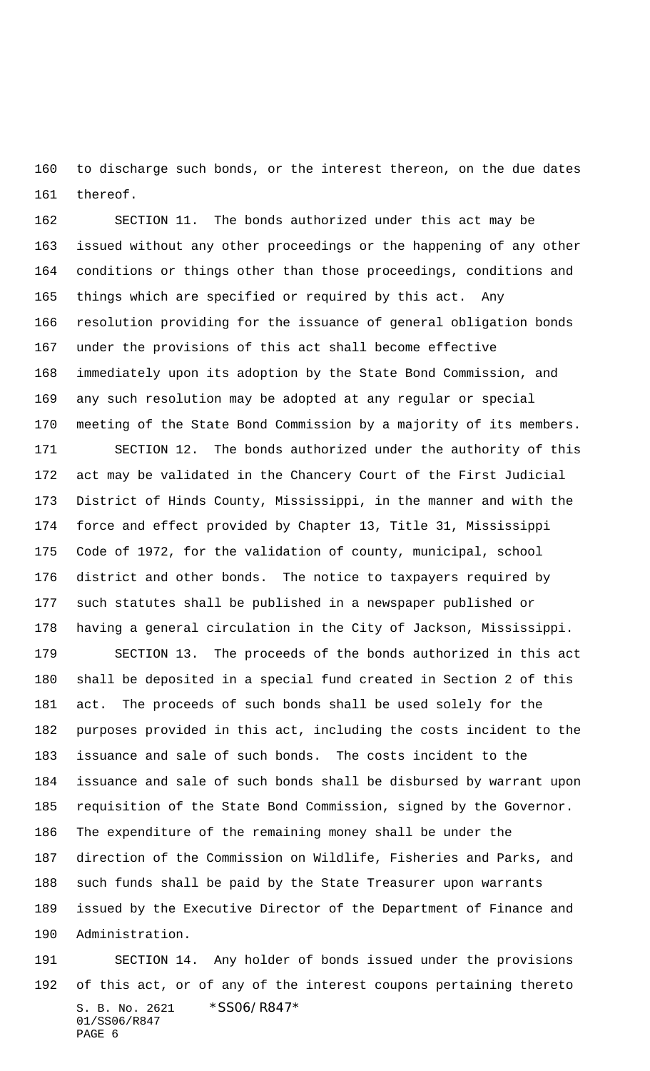to discharge such bonds, or the interest thereon, on the due dates thereof.

 SECTION 11. The bonds authorized under this act may be issued without any other proceedings or the happening of any other conditions or things other than those proceedings, conditions and things which are specified or required by this act. Any resolution providing for the issuance of general obligation bonds under the provisions of this act shall become effective immediately upon its adoption by the State Bond Commission, and any such resolution may be adopted at any regular or special meeting of the State Bond Commission by a majority of its members.

 SECTION 12. The bonds authorized under the authority of this act may be validated in the Chancery Court of the First Judicial District of Hinds County, Mississippi, in the manner and with the force and effect provided by Chapter 13, Title 31, Mississippi Code of 1972, for the validation of county, municipal, school district and other bonds. The notice to taxpayers required by such statutes shall be published in a newspaper published or having a general circulation in the City of Jackson, Mississippi.

 SECTION 13. The proceeds of the bonds authorized in this act shall be deposited in a special fund created in Section 2 of this act. The proceeds of such bonds shall be used solely for the purposes provided in this act, including the costs incident to the issuance and sale of such bonds. The costs incident to the issuance and sale of such bonds shall be disbursed by warrant upon requisition of the State Bond Commission, signed by the Governor. The expenditure of the remaining money shall be under the direction of the Commission on Wildlife, Fisheries and Parks, and such funds shall be paid by the State Treasurer upon warrants issued by the Executive Director of the Department of Finance and Administration.

S. B. No. 2621 \* SS06/R847\* 01/SS06/R847 PAGE 6 SECTION 14. Any holder of bonds issued under the provisions of this act, or of any of the interest coupons pertaining thereto